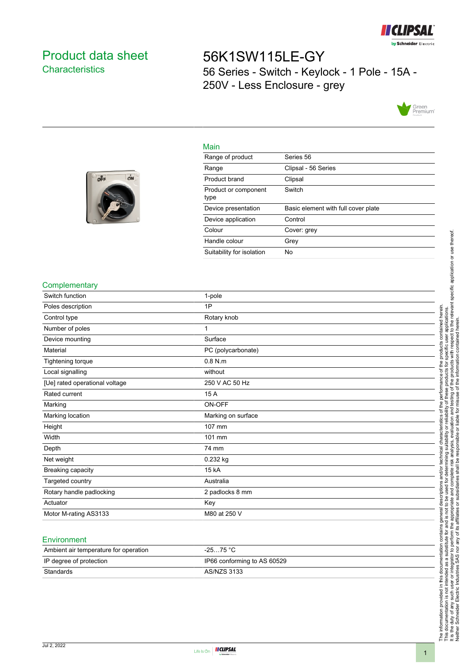

## <span id="page-0-0"></span>Product data sheet **Characteristics**

off

ON

# 56K1SW115LE-GY 56 Series - Switch - Keylock - 1 Pole - 15A - 250V - Less Enclosure - grey



#### Main

| Range of product             | Series 56                           |
|------------------------------|-------------------------------------|
| Range                        | Clipsal - 56 Series                 |
| Product brand                | Clipsal                             |
| Product or component<br>type | Switch                              |
| Device presentation          | Basic element with full cover plate |
| Device application           | Control                             |
| Colour                       | Cover: grey                         |
| Handle colour                | Grey                                |
| Suitability for isolation    | No                                  |



| Complementary                  |                    |
|--------------------------------|--------------------|
| Switch function                | 1-pole             |
| Poles description              | 1P                 |
| Control type                   | Rotary knob        |
| Number of poles                | 1                  |
| Device mounting                | Surface            |
| Material                       | PC (polycarbonate) |
| Tightening torque              | $0.8$ N.m.         |
| Local signalling               | without            |
| [Ue] rated operational voltage | 250 V AC 50 Hz     |
| Rated current                  | 15 A               |
| Marking                        | ON-OFF             |
| Marking location               | Marking on surface |
| Height                         | 107 mm             |
| Width                          | 101 mm             |
| Depth                          | 74 mm              |
| Net weight                     | 0.232 kg           |
| Breaking capacity              | 15 kA              |
| Targeted country               | Australia          |
| Rotary handle padlocking       | 2 padlocks 8 mm    |
| Actuator                       | Key                |
| Motor M-rating AS3133          | M80 at 250 V       |

| Ambient air temperature for operation | -25…75 °C                   |
|---------------------------------------|-----------------------------|
| IP degree of protection               | IP66 conforming to AS 60529 |
| Standards                             | AS/NZS 3133                 |